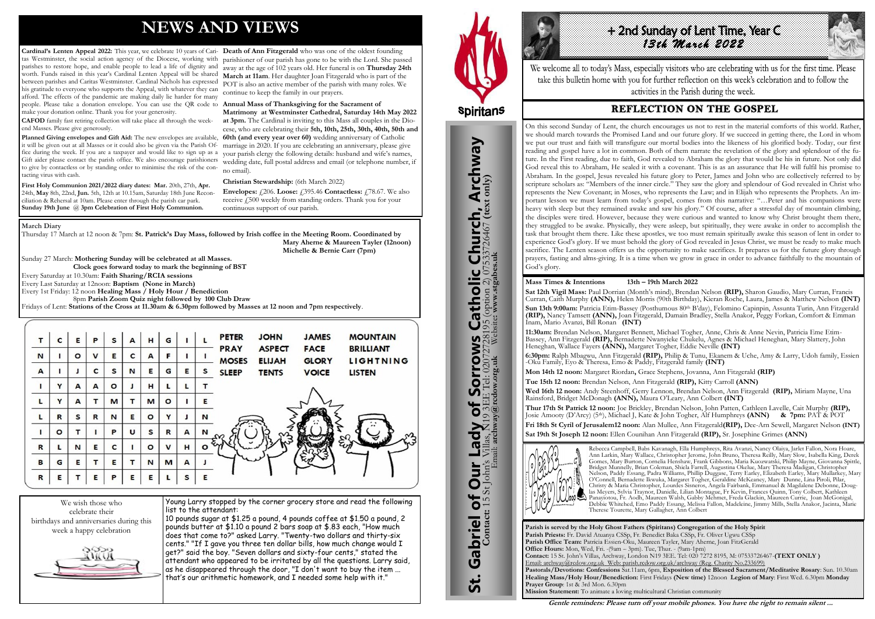# **NEWS AND VIEWS**

Cardinal's Lenten Appeal 2022: This year, we celebrate 10 years of Cari- Death of Ann Fitzgerald who was one of the oldest founding tas Westminster, the social action agency of the Diocese, working with parishes to restore hope, and enable people to lead a life of dignity and away at the age of 102 years old. Her funeral is on **Thursday 24th** worth. Funds raised in this year's Cardinal Lenten Appeal will be shared between parishes and Caritas Westminster. Cardinal Nichols has expressed his gratitude to everyone who supports the Appeal, with whatever they can afford. The effects of the pandemic are making daily lie harder for many people. Please take a donation envelope. You can use the QR code to **Annual Mass of Thanksgiving for the Sacrament of**  make your donation online. Thank you for your generosity.

**CAFOD** family fast retiring collection will take place all through the weekend Masses. Please give generously.

First Holy Communion 2021/2022 diary dates: Mar. 20th, 27th, Apr. 24th, **May** 8th, 22nd, **Jun.** 5th, 12th at 10.15am, Saturday 18th June Reconciliation & Rehersal at 10am. Please enter through the parish car park. **Sunday 19th June** @ **3pm Celebration of First Holy Communion.**

**Planned Giving envelopes and Gift Aid:** The new envelopes are available, it will be given out at all Masses or it could also be given via the Parish Office during the week. If you are a taxpayer and would like to sign up as a Gift aider please contact the parish office. We also encourage parishioners to give by contactless or by standing order to minimise the risk of the contacting virus with cash.

> **Envelopes:**  $\angle 206$ . **Loose:**  $\angle 395.46$  **Contactless:**  $\angle 78.67$ . We also receive £500 weekly from standing orders. Thank you for your continuous support of our parish.

Young Larry stopped by the corner grocery store and read the following list to the attendant:

parishioner of our parish has gone to be with the Lord. She passed **March at 11am**. Her daughter Joan Fitzgerald who is part of the POT is also an active member of the parish with many roles. We continue to keep the family in our prayers.

+2nd sunday of Lent Time, Year C *13th March 2022* 

**Matrimony at Westminster Cathedral, Saturday 14th May 2022 at 3pm.** The Cardinal is inviting to this Mass all couples in the Diocese, who are celebrating their **5th, 10th, 25th, 30th, 40th, 50th and 60th (and every year over 60)** wedding anniversary of Catholic marriage in 2020. If you are celebrating an anniversary, please give your parish clergy the following details: husband and wife's names, wedding date, full postal address and email (or telephone number, if no email).

**Christian Stewardship:** (6th March 2022)

We wish those who celebrate their birthdays and anniversaries during this week a happy celebration



10 pounds sugar at \$1.25 a pound, 4 pounds coffee at \$1.50 a pound, 2 pounds butter at \$1.10 a pound 2 bars soap at \$.83 each, "How much does that come to?" asked Larry. "Twenty-two dollars and thirty-six cents." "If I gave you three ten dollar bills, how much change would I get?" said the boy. "Seven dollars and sixty-four cents," stated the attendant who appeared to be irritated by all the questions. Larry said, as he disappeared through the door, "I don't want to buy the item ... that's our arithmetic homework, and I needed some help with it."



#### **March Diary**

Thursday 17 March at 12 noon & 7pm: **St. Patrick's Day Mass, followed by Irish coffee in the Meeting Room. Coordinated by Mary Aherne & Maureen Tayler (12noon)** 

 **Michelle & Bernie Carr (7pm)** 

Sunday 27 March: **Mothering Sunday will be celebrated at all Masses. Clock goes forward today to mark the beginning of BST** Every Saturday at 10.30am: **Faith Sharing/RCIA sessions**  Every Last Saturday at 12noon: **Baptism (None in March)** Every 1st Friday: 12 noon **Healing Mass / Holy Hour / Benediction** 8pm **Parish Zoom Quiz night followed by 100 Club Draw** Fridays of Lent: **Stations of the Cross at 11.30am & 6.30pm followed by Masses at 12 noon and 7pm respectively**.

| т           | C       | Е       | Р           | s       | A | н       | G           |   |         | <b>PETER</b>                | <b>JOHN</b>                    | <b>JAMES</b>                | <b>MOUNTAIN</b>                      |
|-------------|---------|---------|-------------|---------|---|---------|-------------|---|---------|-----------------------------|--------------------------------|-----------------------------|--------------------------------------|
| $\mathbf N$ |         | $\circ$ | $\mathbf v$ | Е       | c | A       | F           |   |         | <b>PRAY</b><br><b>MOSES</b> | <b>ASPECT</b><br><b>ELIJAH</b> | <b>FACE</b><br><b>GLORY</b> | <b>BRILLIANT</b><br><b>LIGHTNING</b> |
| A           |         |         | C           | s       | N | Е       | G           | Е | s       | <b>SLEEP</b>                | <b>TENTS</b>                   | <b>VOICE</b>                | <b>LISTEN</b>                        |
|             | Y       | A       | A           | $\circ$ |   | н       |             | L |         |                             |                                |                             |                                      |
| L           | Y       | А       |             | M       |   | M       | $\circ$     |   | Е       |                             |                                |                             |                                      |
| L           | R       | S       | R           | N       | E | $\circ$ | Y           | J | N       |                             |                                |                             |                                      |
|             | $\circ$ | т       |             | P       | U | s       | R           | A | N       |                             |                                |                             |                                      |
| $\mathbf R$ | L       | N       | Е           | c       |   | O       | $\mathbf v$ | н | $\circ$ |                             |                                |                             |                                      |
| B           | G       | Е       |             | Е       | т | N       | M           | A |         |                             |                                |                             |                                      |
| $\,$ R      | E       |         | Е           | P       | E | Е       |             | s | Е       |                             |                                |                             |                                      |

**Parish is served by the Holy Ghost Fathers (Spiritans) Congregation of the Holy Spirit Parish Priests:** Fr. David Atuanya CSSp, Fr. Benedict Baka CSSp, Fr. Oliver Ugwu CSSp **Parish Office Team:** Patricia Essien-Oku, Maureen Tayler, Mary Aherne, Joan FitzGerald **Office Hours:** Mon, Wed, Fri. -(9am – 3pm). Tue, Thur. - (9am-1pm) **Contact:** 15 St. John's Villas, Archway, London N19 3EE. Tel: 020 7272 8195, M: 07533726467-**(TEXT ONLY )** Email: archway@rcdow.org.uk Web: parish.rcdow.org.uk/archway (Reg. Charity No.233699) **Pastorals/Devotions: Confessions** Sat.11am, 6pm, **Exposition of the Blessed Sacrament/Meditative Rosary**: Sun. 10.30am **Healing Mass/Holy Hour/Benediction:** First Fridays **(New time)** 12noon **Legion of Mary**: First Wed. 6.30pm **Monday Prayer Group**: 1st & 3rd Mon. 6.30pm **Mission Statement:** To animate a loving multicultural Christian community



We welcome all to today's Mass, especially visitors who are celebrating with us for the first time. Please take this bulletin home with you for further reflection on this week's celebration and to follow the activities in the Parish during the week.

## **REFLECTION ON THE GOSPEL**

#### **Mass Times & Intentions 13th – 19th March 2022**

**Sat 12th Vigil Mass:** Paul Dorrian (Month's mind), Brendan Nelson **(RIP),** Sharon Gaudio, Mary Curran, Francis Curran, Caith Murphy **(ANN),** Helen Morris (90th Birthday), Kieran Roche, Laura, James & Matthew Nelson **(INT)** Sun 13th 9:00am: Patricia Etim-Bassey (Posthumous 80<sup>th</sup> B'day), Felomino Capinpin, Assunta Turin, Ann Fitzgerald **(RIP),** Nancy Tamsett **(ANN),** Joan Fitzgerald, Damain Bradley, Stella Anakor, Peggy Forkan, Comfort & Emman Inam, Mario Avanzi, Bill Ronan **(INT)**

**11:30am:** Brendan Nelson, Margaret Bennett, Michael Togher, Anne, Chris & Anne Nevin, Patricia Eme Etim-Bassey, Ann Fitzgerald **(RIP),** Bernadette Nwanyieke Chukelu, Agnes & Michael Heneghan, Mary Slattery, John Heneghan, Wallace Fayers **(ANN),** Margaret Togher, Eddie Neville **(INT)**

**6:30pm:** Ralph Mbagwu, Ann Fitzgerald **(RIP),** Philip & Tunu, Ekanem & Uche, Amy & Larry, Udoh family, Essien -Oku Family, Eyo & Theresa, Emo & Paddy, Fitzgerald family **(INT) Mon 14th 12 noon:** Margaret Riordan**,** Grace Stephens, Jovanna, Ann Fitzgerald **(RIP)**

**Tue 15th 12 noon:** Brendan Nelson, Ann Fitzgerald **(RIP),** Kitty Carroll **(ANN)**

**Wed 16th 12 noon:** Andy Steenhoff, Gerry Lennon, Brendan Nelson, Ann Fitzgerald **(RIP),** Miriam Mayne, Una Rainsford, Bridget McDonagh **(ANN),** Maura O'Leary, Ann Colbert **(INT)** 

**Thur 17th St Patrick 12 noon:** Joe Brickley, Brendan Nelson, John Patten, Cathleen Lavelle, Cait Murphy **(RIP),**  Josie Amooty (D'Arcy) (5th), Michael J, Kate & John Togher, Alf Humphreys **(ANN) & 7pm:** PAT & POT **Fri 18th St Cyril of Jerusalem12 noon:** Alan Mullee, Ann Fitzgerald**(RIP),** Dee-Arn Sewell, Margaret Nelson **(INT)** 

**Sat 19th St Joseph 12 noon:** Ellen Counihan Ann Fitzgerald **(RIP),** Sr. Josephine Grimes **(ANN)**



Rebecca Campbell, Babs Kavanagh, Ella Humphreys, Rita Avanzi, Nancy Olaiya, Jarlet Fallon, Nora Hoare, Ann Larkin, Mary Wallace, Christopher Jerome, John Bruno, Theresa Reilly, Mary Slow, Isabella King, Derek Gomes, Mary Burton, Cornelia Henshaw, Frank Gibbons, Maria Kuozwatski, Philip Mayne, Giovanna Spittle, Bridget Munnelly, Brian Coleman, Shiela Farrell, Augustina Okelue, Mary Theresa Madigan, Christopher Nelson, Paddy Essang, Padra Williams, Phillip Duggase, Terry Earley, Elizabeth Earley, Mary Mullarkey, Mary O'Connell, Bernadette Ikwuka, Margaret Togher, Geraldine McKeaney, Mary Dunne, Lina Piroli, Pilar, Christy & Maria Christopher, Lourdes Sisneros, Angela Fairbank, Emmanuel & Magdalene Debonne, Douglas Meyers, Sylvia Traynor, Danielle, Lilian Montague, Fr Kevin, Frances Quinn, Tony Colbert, Kathleen Panayiotou, Fr. Aodh, Maureen Walsh, Gabby Mehmet, Freda Glackin, Maureen Currie, Joan McGonigal, Debbie Whitehed, Emo Paddy Essang, Melissa Fallon, Madeleine, Jimmy Mills, Stella Anakor, Jacinta, Marie Therese Tourette, Mary Gallagher, Ann Colbert

**Gentle reminders: Please turn off your mobile phones. You have the right to remain silent ...** 

On this second Sunday of Lent, the church encourages us not to rest in the material comforts of this world. Rather, we should march towards the Promised Land and our future glory. If we succeed in getting there, the Lord in whom we put our trust and faith will transfigure our mortal bodies into the likeness of his glorified body. Today, our first reading and gospel have a lot in common. Both of them narrate the revelation of the glory and splendour of the future. In the First reading, due to faith, God revealed to Abraham the glory that would be his in future. Not only did God reveal this to Abraham, He sealed it with a covenant. This is as an assurance that He will fulfil his promise to Abraham. In the gospel, Jesus revealed his future glory to Peter, James and John who are collectively referred to by scripture scholars as: "Members of the inner circle." They saw the glory and splendour of God revealed in Christ who represents the New Covenant; in Moses, who represents the Law; and in Elijah who represents the Prophets. An important lesson we must learn from today's gospel, comes from this narrative: "…Peter and his companions were heavy with sleep but they remained awake and saw his glory." Of course, after a stressful day of mountain climbing, the disciples were tired. However, because they were curious and wanted to know why Christ brought them there, they struggled to be awake. Physically, they were asleep, but spiritually, they were awake in order to accomplish the task that brought them there. Like these apostles, we too must remain spiritually awake this season of lent in order to experience God's glory. If we must behold the glory of God revealed in Jesus Christ, we must be ready to make much sacrifice. The Lenten season offers us the opportunity to make sacrifices. It prepares us for the future glory through prayers, fasting and alms-giving. It is a time when we grow in grace in order to advance faithfully to the mountain of God's glory.